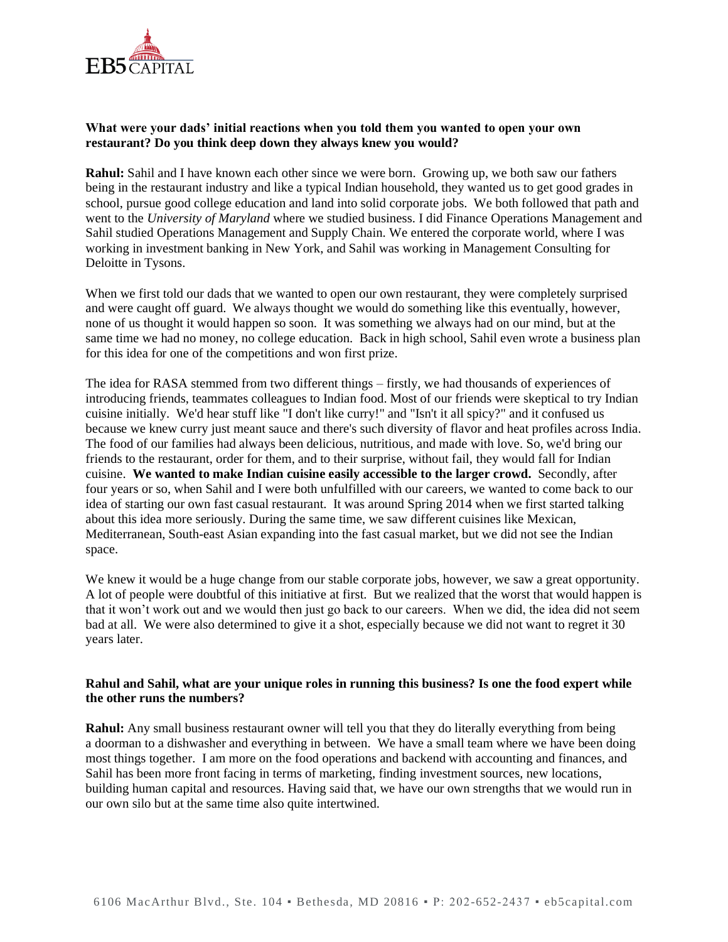

### **What were your dads' initial reactions when you told them you wanted to open your own restaurant? Do you think deep down they always knew you would?**

**Rahul:** Sahil and I have known each other since we were born. Growing up, we both saw our fathers being in the restaurant industry and like a typical Indian household, they wanted us to get good grades in school, pursue good college education and land into solid corporate jobs. We both followed that path and went to the *University of Maryland* where we studied business. I did Finance Operations Management and Sahil studied Operations Management and Supply Chain. We entered the corporate world, where I was working in investment banking in New York, and Sahil was working in Management Consulting for Deloitte in Tysons.

When we first told our dads that we wanted to open our own restaurant, they were completely surprised and were caught off guard. We always thought we would do something like this eventually, however, none of us thought it would happen so soon. It was something we always had on our mind, but at the same time we had no money, no college education. Back in high school, Sahil even wrote a business plan for this idea for one of the competitions and won first prize.

The idea for RASA stemmed from two different things – firstly, we had thousands of experiences of introducing friends, teammates colleagues to Indian food. Most of our friends were skeptical to try Indian cuisine initially. We'd hear stuff like "I don't like curry!" and "Isn't it all spicy?" and it confused us because we knew curry just meant sauce and there's such diversity of flavor and heat profiles across India. The food of our families had always been delicious, nutritious, and made with love. So, we'd bring our friends to the restaurant, order for them, and to their surprise, without fail, they would fall for Indian cuisine. **We wanted to make Indian cuisine easily accessible to the larger crowd.** Secondly, after four years or so, when Sahil and I were both unfulfilled with our careers, we wanted to come back to our idea of starting our own fast casual restaurant. It was around Spring 2014 when we first started talking about this idea more seriously. During the same time, we saw different cuisines like Mexican, Mediterranean, South-east Asian expanding into the fast casual market, but we did not see the Indian space.

We knew it would be a huge change from our stable corporate jobs, however, we saw a great opportunity. A lot of people were doubtful of this initiative at first. But we realized that the worst that would happen is that it won't work out and we would then just go back to our careers. When we did, the idea did not seem bad at all. We were also determined to give it a shot, especially because we did not want to regret it 30 years later.

#### **Rahul and Sahil, what are your unique roles in running this business? Is one the food expert while the other runs the numbers?**

**Rahul:** Any small business restaurant owner will tell you that they do literally everything from being a doorman to a dishwasher and everything in between. We have a small team where we have been doing most things together. I am more on the food operations and backend with accounting and finances, and Sahil has been more front facing in terms of marketing, finding investment sources, new locations, building human capital and resources. Having said that, we have our own strengths that we would run in our own silo but at the same time also quite intertwined.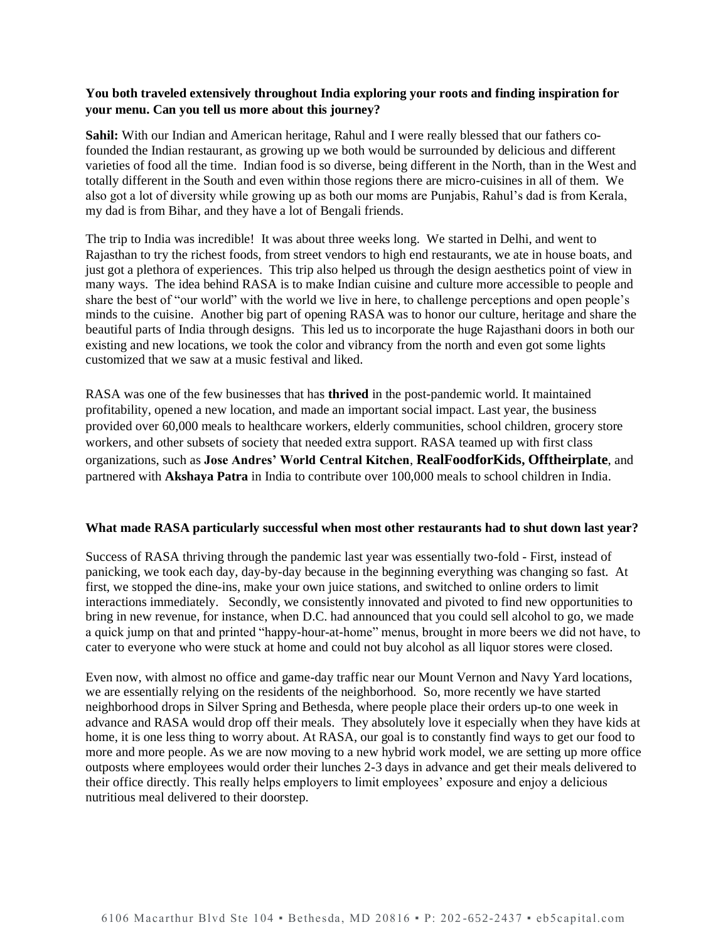## **You both traveled extensively throughout India exploring your roots and finding inspiration for your menu. Can you tell us more about this journey?**

**Sahil:** With our Indian and American heritage, Rahul and I were really blessed that our fathers cofounded the Indian restaurant, as growing up we both would be surrounded by delicious and different varieties of food all the time. Indian food is so diverse, being different in the North, than in the West and totally different in the South and even within those regions there are micro-cuisines in all of them. We also got a lot of diversity while growing up as both our moms are Punjabis, Rahul's dad is from Kerala, my dad is from Bihar, and they have a lot of Bengali friends.

The trip to India was incredible! It was about three weeks long. We started in Delhi, and went to Rajasthan to try the richest foods, from street vendors to high end restaurants, we ate in house boats, and just got a plethora of experiences. This trip also helped us through the design aesthetics point of view in many ways. The idea behind RASA is to make Indian cuisine and culture more accessible to people and share the best of "our world" with the world we live in here, to challenge perceptions and open people's minds to the cuisine. Another big part of opening RASA was to honor our culture, heritage and share the beautiful parts of India through designs. This led us to incorporate the huge Rajasthani doors in both our existing and new locations, we took the color and vibrancy from the north and even got some lights customized that we saw at a music festival and liked.

RASA was one of the few businesses that has **thrived** in the post-pandemic world. It maintained profitability, opened a new location, and made an important social impact. Last year, the business provided over 60,000 meals to healthcare workers, elderly communities, school children, grocery store workers, and other subsets of society that needed extra support. RASA teamed up with first class organizations, such as **Jose Andres' World Central Kitchen**, **RealFoodforKids, Offtheirplate**, and partnered with **Akshaya Patra** in India to contribute over 100,000 meals to school children in India.

#### **What made RASA particularly successful when most other restaurants had to shut down last year?**

Success of RASA thriving through the pandemic last year was essentially two-fold - First, instead of panicking, we took each day, day-by-day because in the beginning everything was changing so fast. At first, we stopped the dine-ins, make your own juice stations, and switched to online orders to limit interactions immediately. Secondly, we consistently innovated and pivoted to find new opportunities to bring in new revenue, for instance, when D.C. had announced that you could sell alcohol to go, we made a quick jump on that and printed "happy-hour-at-home" menus, brought in more beers we did not have, to cater to everyone who were stuck at home and could not buy alcohol as all liquor stores were closed.

Even now, with almost no office and game-day traffic near our Mount Vernon and Navy Yard locations, we are essentially relying on the residents of the neighborhood. So, more recently we have started neighborhood drops in Silver Spring and Bethesda, where people place their orders up-to one week in advance and RASA would drop off their meals. They absolutely love it especially when they have kids at home, it is one less thing to worry about. At RASA, our goal is to constantly find ways to get our food to more and more people. As we are now moving to a new hybrid work model, we are setting up more office [outposts](https://www.rasagrill.com/outposts) where employees would order their lunches 2-3 days in advance and get their meals delivered to their office directly. This really helps employers to limit employees' exposure and enjoy a delicious nutritious meal delivered to their doorstep.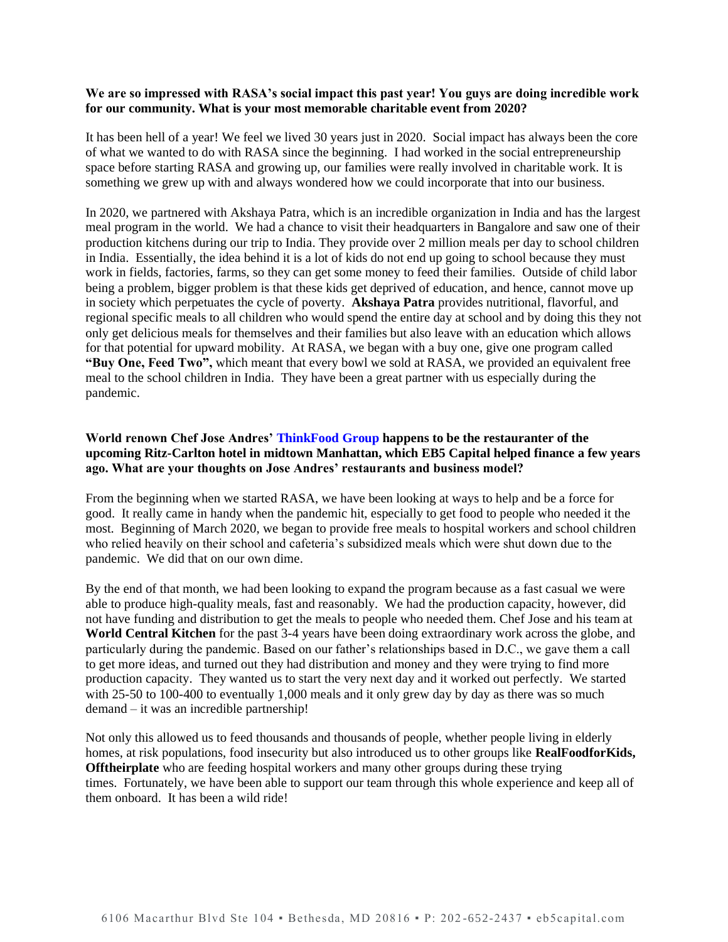### **We are so impressed with RASA's social impact this past year! You guys are doing incredible work for our community. What is your most memorable charitable event from 2020?**

It has been hell of a year! We feel we lived 30 years just in 2020. Social impact has always been the core of what we wanted to do with RASA since the beginning. I had worked in the social entrepreneurship space before starting RASA and growing up, our families were really involved in charitable work. It is something we grew up with and always wondered how we could incorporate that into our business.

In 2020, we partnered wit[h Akshaya Patra,](https://www.giveindia.org/nonprofit/the-akshaya-patra-foundation?gclid=Cj0KCQiAvvKBBhCXARIsACTePW_7cAme5OA9B0rXklDLiXBb1M0LoiratowP_T50ezAYH7pqa0zjw1waAt96EALw_wcB) which is an incredible organization in India and has the largest meal program in the world. We had a chance to visit their headquarters in Bangalore and saw one of their production kitchens during our trip to India. They provide over 2 million meals per day to school children in India. Essentially, the idea behind it is a lot of kids do not end up going to school because they must work in fields, factories, farms, so they can get some money to feed their families. Outside of child labor being a problem, bigger problem is that these kids get deprived of education, and hence, cannot move up in society which perpetuates the cycle of poverty. **Akshaya Patra** provides nutritional, flavorful, and regional specific meals to all children who would spend the entire day at school and by doing this they not only get delicious meals for themselves and their families but also leave with an education which allows for that potential for upward mobility. At RASA, we began with a buy one, give one program called **"Buy One, Feed Two",** which meant that every bowl we sold at RASA, we provided an equivalent free meal to the school children in India. They have been a great partner with us especially during the pandemic.

# **World renown Chef Jose Andres' [ThinkFood Group](https://thinkfoodgroup.com/) happens to be the restauranter of the upcoming Ritz-Carlton hotel in midtown Manhattan, which EB5 Capital helped finance a few years ago. What are your thoughts on Jose Andres' restaurants and business model?**

From the beginning when we started RASA, we have been looking at ways to help and be a force for good. It really came in handy when the pandemic hit, especially to get food to people who needed it the most. Beginning of March 2020, we began to provide free meals to hospital workers and school children who relied heavily on their school and cafeteria's subsidized meals which were shut down due to the pandemic. We did that on our own dime.

By the end of that month, we had been looking to expand the program because as a fast casual we were able to produce high-quality meals, fast and reasonably. We had the production capacity, however, did not have funding and distribution to get the meals to people who needed them. Chef Jose and his team at **[World Central Kitchen](https://wck.org/)** for the past 3-4 years have been doing extraordinary work across the globe, and particularly during the pandemic. Based on our father's relationships based in D.C., we gave them a call to get more ideas, and turned out they had distribution and money and they were trying to find more production capacity. They wanted us to start the very next day and it worked out perfectly. We started with 25-50 to 100-400 to eventually 1,000 meals and it only grew day by day as there was so much demand – it was an incredible partnership!

Not only this allowed us to feed thousands and thousands of people, whether people living in elderly homes, at risk populations, food insecurity but also introduced us to other groups like **[RealFoodforKids,](https://www.realfoodforkids.org/) [Offtheirplate](https://www.offtheirplate.org/)** who are feeding hospital workers and many other groups during these trying times. Fortunately, we have been able to support our team through this whole experience and keep all of them onboard. It has been a wild ride!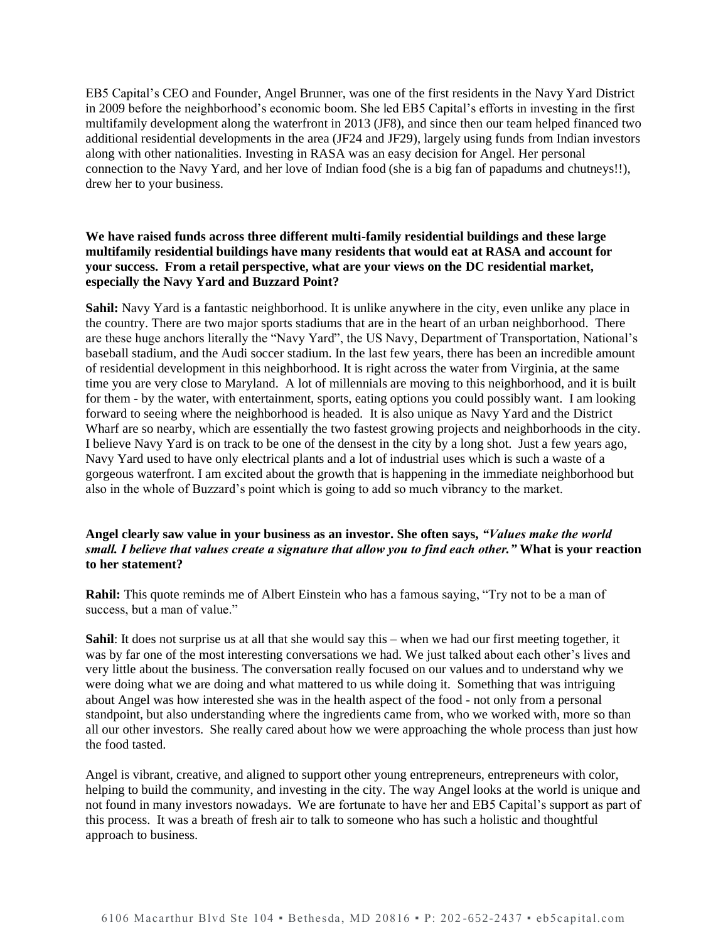EB5 Capital's CEO and Founder, Angel Brunner, was one of the first residents in the Navy Yard District in 2009 before the neighborhood's economic boom. She led EB5 Capital's efforts in investing in the first multifamily development along the waterfront in 2013 (JF8), and since then our team helped financed two additional residential developments in the area (JF24 and JF29), largely using funds from Indian investors along with other nationalities. Investing in RASA was an easy decision for Angel. Her personal connection to the Navy Yard, and her love of Indian food (she is a big fan of papadums and chutneys!!), drew her to your business.

# **We have raised funds across three different multi-family residential buildings and these large multifamily residential buildings have many residents that would eat at RASA and account for your success. From a retail perspective, what are your views on the DC residential market, especially the Navy Yard and Buzzard Point?**

**Sahil:** Navy Yard is a fantastic neighborhood. It is unlike anywhere in the city, even unlike any place in the country. There are two major sports stadiums that are in the heart of an urban neighborhood. There are these huge anchors literally the "Navy Yard", the US Navy, Department of Transportation, National's baseball stadium, and the Audi soccer stadium. In the last few years, there has been an incredible amount of residential development in this neighborhood. It is right across the water from Virginia, at the same time you are very close to Maryland. A lot of millennials are moving to this neighborhood, and it is built for them - by the water, with entertainment, sports, eating options you could possibly want. I am looking forward to seeing where the neighborhood is headed. It is also unique a[s Navy Yard](https://www.theyardsdc.com/) and th[e District](https://www.wharfdc.com/)  [Wharf](https://www.wharfdc.com/) are so nearby, which are essentially the two fastest growing projects and neighborhoods in the city. I believe Navy Yard is on track to be one of the densest in the city by a long shot. Just a few years ago, Navy Yard used to have only electrical plants and a lot of industrial uses which is such a waste of a gorgeous waterfront. I am excited about the growth that is happening in the immediate neighborhood but also in the whole of Buzzard's point which is going to add so much vibrancy to the market.

### **Angel clearly saw value in your business as an investor. She often says,** *"Values make the world small. I believe that values create a signature that allow you to find each other."* **What is your reaction to her statement?**

**Rahil:** This quote reminds me of Albert Einstein who has a famous saying, "Try not to be a man of success, but a man of value."

**Sahil**: It does not surprise us at all that she would say this – when we had our first meeting together, it was by far one of the most interesting conversations we had. We just talked about each other's lives and very little about the business. The conversation really focused on our values and to understand why we were doing what we are doing and what mattered to us while doing it. Something that was intriguing about Angel was how interested she was in the health aspect of the food - not only from a personal standpoint, but also understanding where the ingredients came from, who we worked with, more so than all our other investors. She really cared about how we were approaching the whole process than just how the food tasted.

Angel is vibrant, creative, and aligned to support other young entrepreneurs, entrepreneurs with color, helping to build the community, and investing in the city. The way Angel looks at the world is unique and not found in many investors nowadays. We are fortunate to have her and EB5 Capital's support as part of this process. It was a breath of fresh air to talk to someone who has such a holistic and thoughtful approach to business.